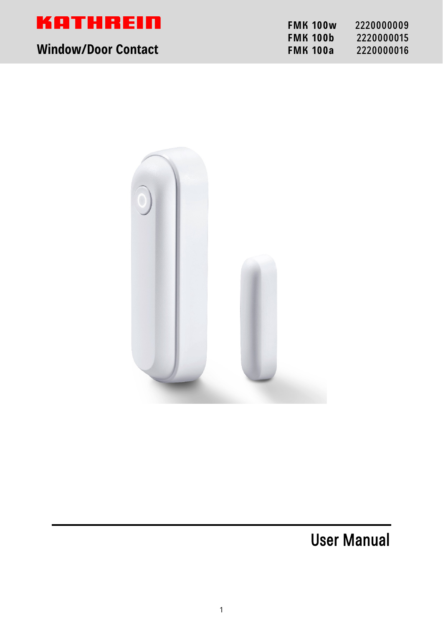

# **Window/Door Contact FMA 100a** 22200016

| <b>FMK 100w</b> | 2220000009 |
|-----------------|------------|
| <b>FMK 100b</b> | 2220000015 |
| <b>FMK 100a</b> | 2220000016 |



User Manual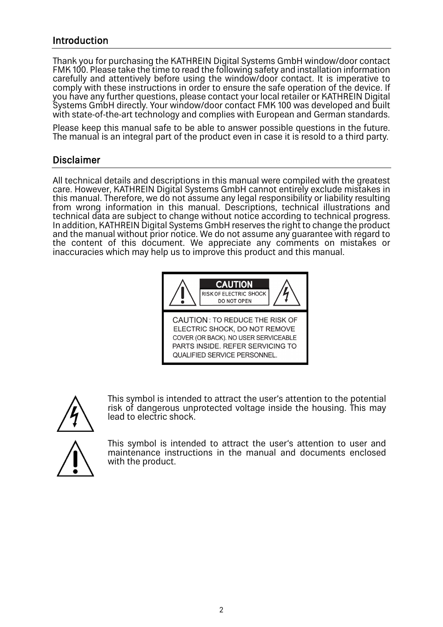## Introduction

Thank you for purchasing the KATHREIN Digital Systems GmbH window/door contact FMK 100. Please take the time to read the following safety and installation information carefully and attentively before using the window/door contact. It is imperative to comply with these instructions in order to ensure the safe operation of the device. If you have any further questions, please contact your local retailer or KATHREIN Digital Systems GmbH directly. Your window/door contact FMK 100 was developed and built with state-of-the-art technology and complies with European and German standards.

Please keep this manual safe to be able to answer possible questions in the future. The manual is an integral part of the product even in case it is resold to a third party.

### Disclaimer

All technical details and descriptions in this manual were compiled with the greatest care. However, KATHREIN Digital Systems GmbH cannot entirely exclude mistakes in this manual. Therefore, we do not assume any legal responsibility or liability resulting from wrong information in this manual. Descriptions, technical illustrations and technical data are subject to change without notice according to technical progress. In addition, KATHREIN Digital Systems GmbH reserves the right to change the product and the manual without prior notice. We do not assume any guarantee with regard to the content of this document. We appreciate any comments on mistakes or inaccuracies which may help us to improve this product and this manual.





This symbol is intended to attract the user's attention to the potential risk of dangerous unprotected voltage inside the housing. This may lead to electric shock.

This symbol is intended to attract the user's attention to user and maintenance instructions in the manual and documents enclosed with the product.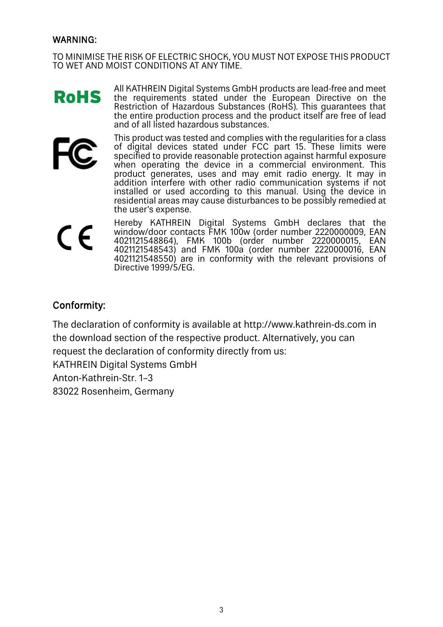#### WARNING:

TO MINIMISE THE RISK OF ELECTRIC SHOCK, YOU MUST NOT EXPOSE THIS PRODUCT TO WET AND MOIST CONDITIONS AT ANY TIME.

All KATHREIN Digital Systems GmbH products are lead-free and meet **RoHS** the requirements stated under the European Directive on the Restriction of Hazardous Substances (RoHS). This guarantees that the entire production process and the product itself are free of lead and of all listed hazardous substances.



This product was tested and complies with the regularities for a class of digital devices stated under FCC part 15. These limits were specified to provide reasonable protection against harmful exposure when operating the device in a commercial environment. This product generates, uses and may emit radio energy. It may in addition interfere with other radio communication systems if not installed or used according to this manual. Using the device in residential areas may cause disturbances to be possibly remedied at the user's expense.

 $\epsilon$ 

Hereby KATHREIN Digital Systems GmbH declares that the window/door contacts FMK 100w (order number 2220000009, EAN 4021121548864), FMK 100b (order number 2220000015, EAN 4021121548543) and FMK 100a (order number 2220000016, EAN 4021121548550) are in conformity with the relevant provisions of Directive 1999/5/EG.

# Conformity:

The declaration of conformity is available at http://www.kathrein-ds.com in the download section of the respective product. Alternatively, you can request the declaration of conformity directly from us: KATHREIN Digital Systems GmbH Anton-Kathrein-Str. 1–3 83022 Rosenheim, Germany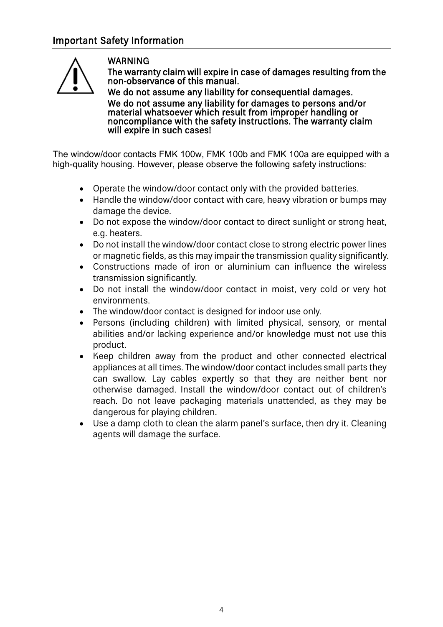

## WARNING

The warranty claim will expire in case of damages resulting from the non-observance of this manual.

We do not assume any liability for consequential damages. We do not assume any liability for damages to persons and/or material whatsoever which result from improper handling or noncompliance with the safety instructions. The warranty claim will expire in such cases!

The window/door contacts FMK 100w, FMK 100b and FMK 100a are equipped with a high-quality housing. However, please observe the following safety instructions:

- Operate the window/door contact only with the provided batteries.
- Handle the window/door contact with care, heavy vibration or bumps may damage the device.
- Do not expose the window/door contact to direct sunlight or strong heat, e.g. heaters.
- Do not install the window/door contact close to strong electric power lines or magnetic fields, as this may impair the transmission quality significantly.
- Constructions made of iron or aluminium can influence the wireless transmission significantly.
- Do not install the window/door contact in moist, very cold or very hot environments.
- The window/door contact is designed for indoor use only.
- Persons (including children) with limited physical, sensory, or mental abilities and/or lacking experience and/or knowledge must not use this product.
- Keep children away from the product and other connected electrical appliances at all times. The window/door contact includes small parts they can swallow. Lay cables expertly so that they are neither bent nor otherwise damaged. Install the window/door contact out of children's reach. Do not leave packaging materials unattended, as they may be dangerous for playing children.
- Use a damp cloth to clean the alarm panel's surface, then dry it. Cleaning agents will damage the surface.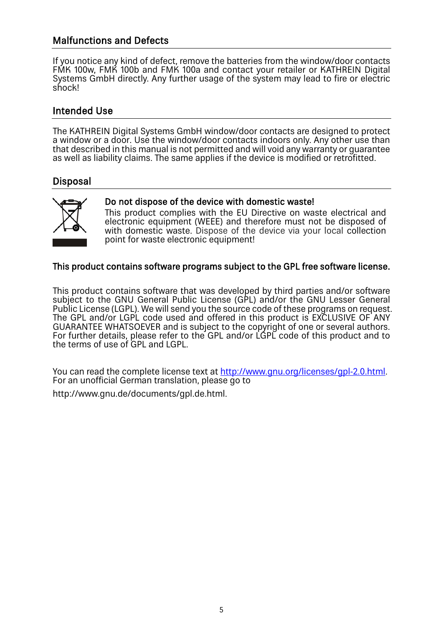# Malfunctions and Defects

If you notice any kind of defect, remove the batteries from the window/door contacts FMK 100w, FMK 100b and FMK 100a and contact your retailer or KATHREIN Digital Systems GmbH directly. Any further usage of the system may lead to fire or electric shock!

## Intended Use

The KATHREIN Digital Systems GmbH window/door contacts are designed to protect a window or a door. Use the window/door contacts indoors only. Any other use than that described in this manual is not permitted and will void any warranty or guarantee as well as liability claims. The same applies if the device is modified or retrofitted.

# Disposal



### Do not dispose of the device with domestic waste!

This product complies with the EU Directive on waste electrical and electronic equipment (WEEE) and therefore must not be disposed of with domestic waste. Dispose of the device via your local collection point for waste electronic equipment!

### This product contains software programs subject to the GPL free software license.

This product contains software that was developed by third parties and/or software subject to the GNU General Public License (GPL) and/or the GNU Lesser General Public License (LGPL). We will send you the source code of these programs on request. The GPL and/or LGPL code used and offered in this product is EXCLUSIVE OF ANY GUARANTEE WHATSOEVER and is subject to the copyright of one or several authors. For further details, please refer to the GPL and/or LGPL code of this product and to the terms of use of GPL and LGPL.

You can read the complete license text at [http://www.gnu.org/licenses/gpl-2.0.html.](http://www.gnu.org/licenses/gpl-2.0.html) For an unofficial German translation, please go to http://www.gnu.de/documents/gpl.de.html.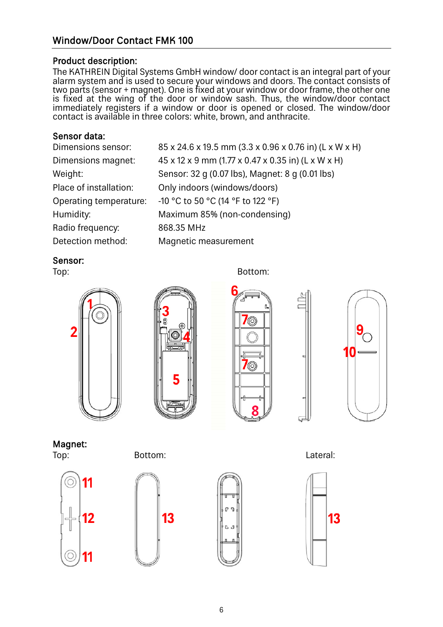# Window/Door Contact FMK 100

#### Product description:

The KATHREIN Digital Systems GmbH window/ door contact is an integral part of your alarm system and is used to secure your windows and doors. The contact consists of two parts (sensor + magnet). One is fixed at your window or door frame, the other one is fixed at the wing of the door or window sash. Thus, the window/door contact immediately registers if a window or door is opened or closed. The window/door contact is available in three colors: white, brown, and anthracite.

#### Sensor data:

| Dimensions sensor:     | 85 x 24.6 x 19.5 mm (3.3 x 0.96 x 0.76 in) (L x W x H) |
|------------------------|--------------------------------------------------------|
| Dimensions magnet:     | 45 x 12 x 9 mm (1.77 x 0.47 x 0.35 in) (L x W x H)     |
| Weight:                | Sensor: 32 g (0.07 lbs), Magnet: 8 g (0.01 lbs)        |
| Place of installation: | Only indoors (windows/doors)                           |
| Operating temperature: | -10 °C to 50 °C (14 °F to 122 °F)                      |
| Humidity:              | Maximum 85% (non-condensing)                           |
| Radio frequency:       | 868.35 MHz                                             |
| Detection method:      | Magnetic measurement                                   |

#### Sensor:





Top: **Bottom:** Bottom:





Magnet:





Top: Bottom: Lateral:

13



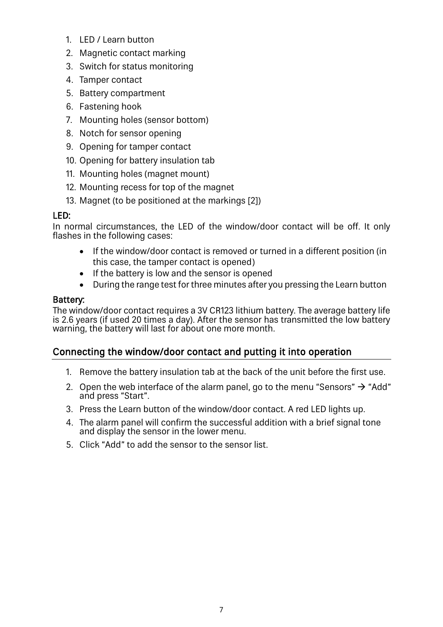- 1. LED / Learn button
- 2. Magnetic contact marking
- 3. Switch for status monitoring
- 4. Tamper contact
- 5. Battery compartment
- 6. Fastening hook
- 7. Mounting holes (sensor bottom)
- 8. Notch for sensor opening
- 9. Opening for tamper contact
- 10. Opening for battery insulation tab
- 11. Mounting holes (magnet mount)
- 12. Mounting recess for top of the magnet
- 13. Magnet (to be positioned at the markings [2])

## LED:

In normal circumstances, the LED of the window/door contact will be off. It only flashes in the following cases:

- If the window/door contact is removed or turned in a different position (in this case, the tamper contact is opened)
- If the battery is low and the sensor is opened
- During the range test for three minutes after you pressing the Learn button

## Battery:

The window/door contact requires a 3V CR123 lithium battery. The average battery life is 2.6 years (if used 20 times a day). After the sensor has transmitted the low battery warning, the battery will last for about one more month.

# Connecting the window/door contact and putting it into operation

- 1. Remove the battery insulation tab at the back of the unit before the first use.
- 2. Open the web interface of the alarm panel, go to the menu "Sensors"  $\rightarrow$  "Add" and press "Start".
- 3. Press the Learn button of the window/door contact. A red LED lights up.
- 4. The alarm panel will confirm the successful addition with a brief signal tone and display the sensor in the lower menu.
- 5. Click "Add" to add the sensor to the sensor list.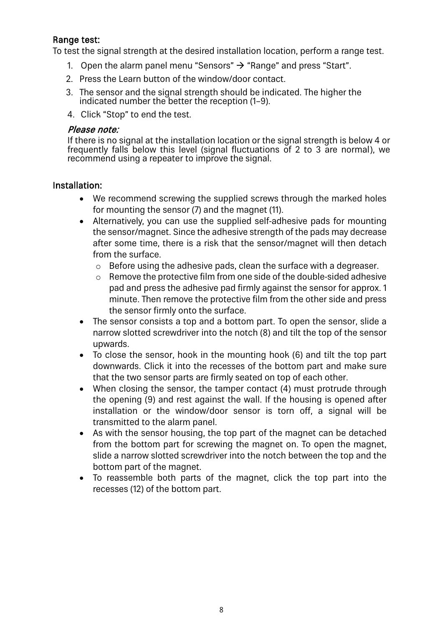### Range test:

To test the signal strength at the desired installation location, perform a range test.

- 1. Open the alarm panel menu "Sensors"  $\rightarrow$  "Range" and press "Start".
- 2. Press the Learn button of the window/door contact.
- 3. The sensor and the signal strength should be indicated. The higher the indicated number the better the reception (1–9).
- 4. Click "Stop" to end the test.

#### Please note:

If there is no signal at the installation location or the signal strength is below 4 or frequently falls below this level (signal fluctuations of 2 to 3 are normal), we recommend using a repeater to improve the signal.

#### Installation:

- We recommend screwing the supplied screws through the marked holes for mounting the sensor (7) and the magnet (11).
- Alternatively, you can use the supplied self-adhesive pads for mounting the sensor/magnet. Since the adhesive strength of the pads may decrease after some time, there is a risk that the sensor/magnet will then detach from the surface.
	- o Before using the adhesive pads, clean the surface with a degreaser.
	- o Remove the protective film from one side of the double-sided adhesive pad and press the adhesive pad firmly against the sensor for approx. 1 minute. Then remove the protective film from the other side and press the sensor firmly onto the surface.
- The sensor consists a top and a bottom part. To open the sensor, slide a narrow slotted screwdriver into the notch (8) and tilt the top of the sensor upwards.
- To close the sensor, hook in the mounting hook (6) and tilt the top part downwards. Click it into the recesses of the bottom part and make sure that the two sensor parts are firmly seated on top of each other.
- When closing the sensor, the tamper contact (4) must protrude through the opening (9) and rest against the wall. If the housing is opened after installation or the window/door sensor is torn off, a signal will be transmitted to the alarm panel.
- As with the sensor housing, the top part of the magnet can be detached from the bottom part for screwing the magnet on. To open the magnet, slide a narrow slotted screwdriver into the notch between the top and the bottom part of the magnet.
- To reassemble both parts of the magnet, click the top part into the recesses (12) of the bottom part.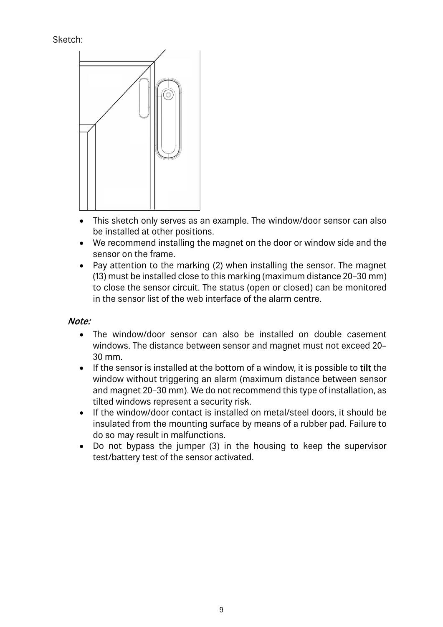## Sketch:



- This sketch only serves as an example. The window/door sensor can also be installed at other positions.
- We recommend installing the magnet on the door or window side and the sensor on the frame.
- Pay attention to the marking (2) when installing the sensor. The magnet (13) must be installed close to this marking (maximum distance 20–30 mm) to close the sensor circuit. The status (open or closed) can be monitored in the sensor list of the web interface of the alarm centre.

## Note:

- The window/door sensor can also be installed on double casement windows. The distance between sensor and magnet must not exceed 20– 30 mm.
- If the sensor is installed at the bottom of a window, it is possible to tilt the window without triggering an alarm (maximum distance between sensor and magnet 20–30 mm). We do not recommend this type of installation, as tilted windows represent a security risk.
- If the window/door contact is installed on metal/steel doors, it should be insulated from the mounting surface by means of a rubber pad. Failure to do so may result in malfunctions.
- Do not bypass the jumper (3) in the housing to keep the supervisor test/battery test of the sensor activated.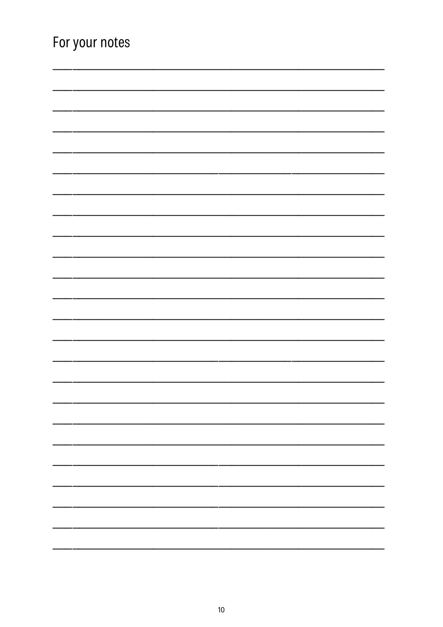| For your notes |  |  |  |
|----------------|--|--|--|
|                |  |  |  |
|                |  |  |  |
|                |  |  |  |
|                |  |  |  |
|                |  |  |  |
|                |  |  |  |
|                |  |  |  |
|                |  |  |  |
|                |  |  |  |
|                |  |  |  |
|                |  |  |  |
|                |  |  |  |
|                |  |  |  |
|                |  |  |  |
|                |  |  |  |
|                |  |  |  |
|                |  |  |  |
|                |  |  |  |
|                |  |  |  |
|                |  |  |  |
|                |  |  |  |
|                |  |  |  |
|                |  |  |  |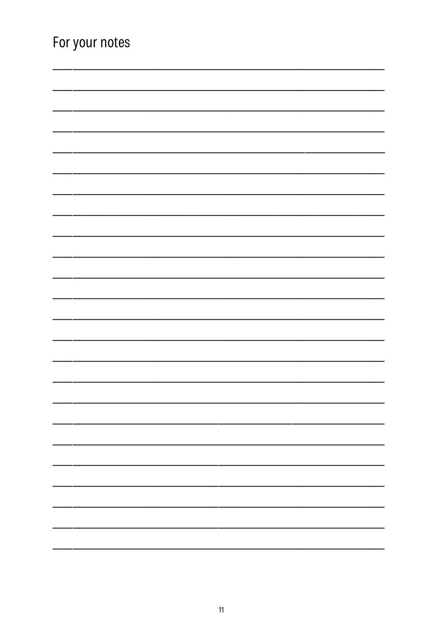| For your notes |  |  |
|----------------|--|--|
|                |  |  |
|                |  |  |
|                |  |  |
|                |  |  |
|                |  |  |
|                |  |  |
|                |  |  |
|                |  |  |
|                |  |  |
|                |  |  |
|                |  |  |
|                |  |  |
|                |  |  |
|                |  |  |
|                |  |  |
|                |  |  |
|                |  |  |
|                |  |  |
|                |  |  |
|                |  |  |
|                |  |  |
|                |  |  |